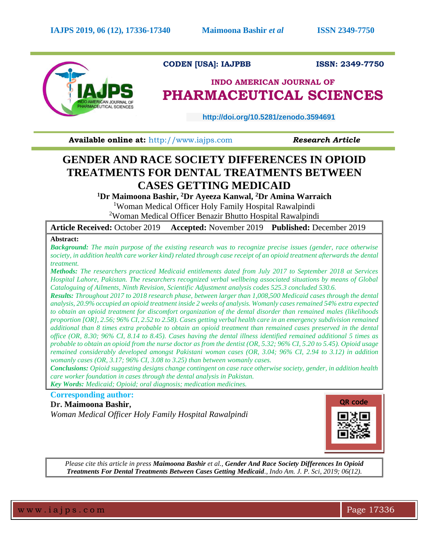

## **CODEN [USA]: IAJPBB ISSN: 2349-7750**

# **INDO AMERICAN JOURNAL OF PHARMACEUTICAL SCIENCES**

 **http://doi.org/10.5281/zenodo.3594691** 

**Available online at: [http://www.iajps.com](http://www.iajps.com/) Research Article** 

# **GENDER AND RACE SOCIETY DIFFERENCES IN OPIOID TREATMENTS FOR DENTAL TREATMENTS BETWEEN CASES GETTING MEDICAID**

**<sup>1</sup>Dr Maimoona Bashir, <sup>2</sup>Dr Ayeeza Kanwal, <sup>2</sup>Dr Amina Warraich**  <sup>1</sup>Woman Medical Officer Holy Family Hospital Rawalpindi

<sup>2</sup>Woman Medical Officer Benazir Bhutto Hospital Rawalpindi

**Article Received:** October 2019 **Accepted:** November 2019 **Published:** December 2019

## **Abstract:**

*Background: The main purpose of the existing research was to recognize precise issues (gender, race otherwise society, in addition health care worker kind) related through case receipt of an opioid treatment afterwards the dental treatment.*

*Methods: The researchers practiced Medicaid entitlements dated from July 2017 to September 2018 at Services Hospital Lahore, Pakistan. The researchers recognized verbal wellbeing associated situations by means of Global Cataloguing of Ailments, Ninth Revision, Scientific Adjustment analysis codes 525.3 concluded 530.6.*

*Results: Throughout 2017 to 2018 research phase, between larger than 1,008,500 Medicaid cases through the dental analysis, 20.9% occupied an opioid treatment inside 2 weeks of analysis. Womanly casesremained 54% extra expected to obtain an opioid treatment for discomfort organization of the dental disorder than remained males (likelihoods proportion [OR], 2.56; 96% CI, 2.52 to 2.58). Cases getting verbal health care in an emergency subdivision remained additional than 8 times extra probable to obtain an opioid treatment than remained cases preserved in the dental office (OR, 8.30; 96% CI, 8.14 to 8.45). Cases having the dental illness identified remained additional 5 times as probable to obtain an opioid from the nurse doctor as from the dentist (OR, 5.32; 96% CI, 5.20 to 5.45). Opioid usage remained considerably developed amongst Pakistani woman cases (OR, 3.04; 96% CI, 2.94 to 3.12) in addition womanly cases (OR, 3.17; 96% CI, 3.08 to 3.25) than between womanly cases.*

*Conclusions: Opioid suggesting designs change contingent on case race otherwise society, gender, in addition health care worker foundation in cases through the dental analysis in Pakistan.*

*Key Words: Medicaid; Opioid; oral diagnosis; medication medicines.*

# **Corresponding author:**

**Dr. Maimoona Bashir,** *Woman Medical Officer Holy Family Hospital Rawalpindi* 



*Please cite this article in press Maimoona Bashir et al., Gender And Race Society Differences In Opioid Treatments For Dental Treatments Between Cases Getting Medicaid., Indo Am. J. P. Sci, 2019; 06(12).*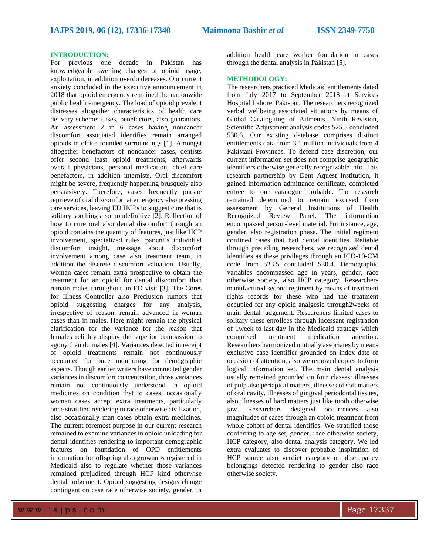### **INTRODUCTION:**

For previous one decade in Pakistan has knowledgeable swelling charges of opioid usage, exploitation, in addition overdo deceases. Our current anxiety concluded in the executive announcement in 2018 that opioid emergency remained the nationwide public health emergency. The load of opioid prevalent distresses altogether characteristics of health care delivery scheme: cases, benefactors, also guarantors. An assessment 2 in 6 cases having noncancer discomfort associated identifies remain arranged opioids in office founded surroundings [1]. Amongst altogether benefactors of noncancer cases, dentists offer second least opioid treatments, afterwards overall physicians, personal medication, chief care benefactors, in addition internists. Oral discomfort might be severe, frequently happening brusquely also persuasively. Therefore, cases frequently pursue reprieve of oral discomfort at emergency also pressing care services, leaving ED HCPs to suggest cure that is solitary soothing also nondefinitive [2]. Reflection of how to cure oral also dental discomfort through an opioid contains the quantity of features, just like HCP involvement, specialized rules, patient's individual discomfort insight, message about discomfort involvement among case also treatment team, in addition the discrete discomfort valuation. Usually, woman cases remain extra prospective to obtain the treatment for an opioid for dental discomfort than remain males throughout an ED visit [3]. The Cores for Illness Controller also Preclusion rumors that opioid suggesting charges for any analysis, irrespective of reason, remain advanced in woman cases than in males. Here might remain the physical clarification for the variance for the reason that females reliably display the superior compassion to agony than do males [4]. Variances detected in receipt of opioid treatments remain not continuously accounted for once monitoring for demographic aspects. Though earlier writers have connected gender variances in discomfort concentration, those variances remain not continuously understood in opioid medicines on condition that to cases; occasionally women cases accept extra treatments, particularly once stratified rendering to race otherwise civilization, also occasionally man cases obtain extra medicines. The current foremost purpose in our current research remained to examine variances in opioid unloading for dental identifies rendering to important demographic features on foundation of OPD entitlements information for offspring also grownups registered in Medicaid also to regulate whether those variances remained prejudiced through HCP kind otherwise dental judgement. Opioid suggesting designs change contingent on case race otherwise society, gender, in

addition health care worker foundation in cases through the dental analysis in Pakistan [5].

### **METHODOLOGY:**

The researchers practiced Medicaid entitlements dated from July 2017 to September 2018 at Services Hospital Lahore, Pakistan. The researchers recognized verbal wellbeing associated situations by means of Global Cataloguing of Ailments, Ninth Revision, Scientific Adjustment analysis codes 525.3 concluded 530.6. Our existing database comprises distinct entitlements data from 3.1 million individuals from 4 Pakistani Provinces. To defend case discretion, our current information set does not comprise geographic identifiers otherwise generally recognizable info. This research partnership by Dent Aquest Institution, it gained information admittance certificate, completed entree to our catalogue probable. The research remained determined to remain excused from assessment by General Institutions of Health Recognized Review Panel. The information encompassed person-level material. For instance, age, gender, also registration phase. The initial regiment confined cases that had dental identifies. Reliable through preceding researchers, we recognized dental identifies as these privileges through an ICD-10-CM code from 523.5 concluded 530.4. Demographic variables encompassed age in years, gender, race otherwise society, also HCP category. Researchers manufactured second regiment by means of treatment rights records for these who had the treatment occupied for any opioid analgesic through2weeks of main dental judgement. Researchers limited cases to solitary these enrollees through incessant registration of 1week to last day in the Medicaid strategy which comprised treatment medication attention. Researchers harmonized mutually associates by means exclusive case identifier grounded on index date of occasion of attention, also we removed copies to form logical information set. The main dental analysis usually remained grounded on four classes: illnesses of pulp also periapical matters, illnesses of soft matters of oral cavity, illnesses of gingival periodontal tissues, also illnesses of hard matters just like tooth otherwise jaw. Researchers designed occurrences also magnitudes of cases through an opioid treatment from whole cohort of dental identifies. We stratified those conferring to age set, gender, race otherwise society, HCP category, also dental analysis category. We led extra evaluates to discover probable inspiration of HCP source also verdict category on discrepancy belongings detected rendering to gender also race otherwise society.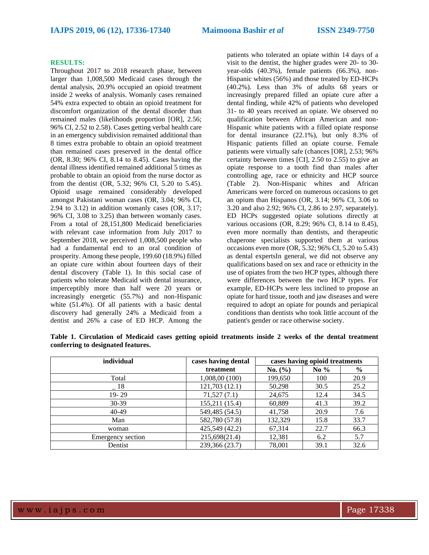#### **RESULTS:**

Throughout 2017 to 2018 research phase, between larger than 1,008,500 Medicaid cases through the dental analysis, 20.9% occupied an opioid treatment inside 2 weeks of analysis. Womanly cases remained 54% extra expected to obtain an opioid treatment for discomfort organization of the dental disorder than remained males (likelihoods proportion [OR], 2.56; 96% CI, 2.52 to 2.58). Cases getting verbal health care in an emergency subdivision remained additional than 8 times extra probable to obtain an opioid treatment than remained cases preserved in the dental office (OR, 8.30; 96% CI, 8.14 to 8.45). Cases having the dental illness identified remained additional 5 times as probable to obtain an opioid from the nurse doctor as from the dentist (OR, 5.32; 96% CI, 5.20 to 5.45). Opioid usage remained considerably developed amongst Pakistani woman cases (OR, 3.04; 96% CI, 2.94 to 3.12) in addition womanly cases (OR, 3.17; 96% CI, 3.08 to 3.25) than between womanly cases. From a total of 28,151,800 Medicaid beneficiaries with relevant case information from July 2017 to September 2018, we perceived 1,008,500 people who had a fundamental end to an oral condition of prosperity. Among these people, 199.60 (18.9%) filled an opiate cure within about fourteen days of their dental discovery (Table 1). In this social case of patients who tolerate Medicaid with dental insurance, imperceptibly more than half were 20 years or increasingly energetic (55.7%) and non-Hispanic white (51.4%). Of all patients with a basic dental discovery had generally 24% a Medicaid from a dentist and 26% a case of ED HCP. Among the

patients who tolerated an opiate within 14 days of a visit to the dentist, the higher grades were 20- to 30 year-olds (40.3%), female patients (66.3%), non-Hispanic whites (56%) and those treated by ED-HCPs (40.2%). Less than 3% of adults 68 years or increasingly prepared filled an opiate cure after a dental finding, while 42% of patients who developed 31- to 40 years received an opiate. We observed no qualification between African American and non-Hispanic white patients with a filled opiate response for dental insurance (22.1%), but only 8.3% of Hispanic patients filled an opiate course. Female patients were virtually safe (chances [OR], 2.53; 96% certainty between times [CI], 2.50 to 2.55) to give an opiate response to a tooth find than males after controlling age, race or ethnicity and HCP source (Table 2). Non-Hispanic whites and African Americans were forced on numerous occasions to get an opium than Hispanos (OR, 3.14; 96% CI, 3.06 to 3.20 and also 2.92; 96% CI, 2.86 to 2.97, separately). ED HCPs suggested opiate solutions directly at various occasions (OR, 8.29; 96% CI, 8.14 to 8.45), even more normally than dentists, and therapeutic chaperone specialists supported them at various occasions even more (OR, 5.32; 96% CI, 5.20 to 5.43) as dental expertsIn general, we did not observe any qualifications based on sex and race or ethnicity in the use of opiates from the two HCP types, although there were differences between the two HCP types. For example, ED-HCPs were less inclined to propose an opiate for hard tissue, tooth and jaw diseases and were required to adopt an opiate for pounds and periapical conditions than dentists who took little account of the patient's gender or race otherwise society.

**Table 1. Circulation of Medicaid cases getting opioid treatments inside 2 weeks of the dental treatment conferring to designated features.**

| individual        | cases having dental | cases having opioid treatments |        |               |
|-------------------|---------------------|--------------------------------|--------|---------------|
|                   | treatment           | No. (%)                        | No $%$ | $\frac{6}{9}$ |
| Total             | 1,008,00 (100)      | 199,650                        | 100    | 20.9          |
| $\_18$            | 121,703(12.1)       | 50,298                         | 30.5   | 25.2          |
| $19 - 29$         | 71,527(7.1)         | 24,675                         | 12.4   | 34.5          |
| $30-39$           | 155,211 (15.4)      | 60,889                         | 41.3   | 39.2          |
| 40-49             | 549,485 (54.5)      | 41,758                         | 20.9   | 7.6           |
| Man               | 582,780 (57.8)      | 132,329                        | 15.8   | 33.7          |
| woman             | 425,549 (42.2)      | 67,314                         | 22.7   | 66.3          |
| Emergency section | 215,698(21.4)       | 12,381                         | 6.2    | 5.7           |
| Dentist           | 239,366 (23.7)      | 78,001                         | 39.1   | 32.6          |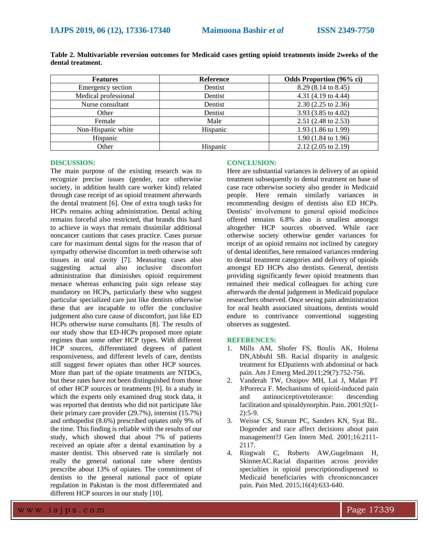| <b>Features</b>      | <b>Reference</b> | <b>Odds Proportion (96% ci)</b> |
|----------------------|------------------|---------------------------------|
| Emergency section    | Dentist          | 8.29 (8.14 to 8.45)             |
| Medical professional | Dentist          | 4.31 (4.19 to 4.44)             |
| Nurse consultant     | Dentist          | $2.30(2.25 \text{ to } 2.36)$   |
| Other                | Dentist          | 3.93 (3.85 to 4.02)             |
| Female               | Male             | 2.51 (2.48 to 2.53)             |
| Non-Hispanic white   | Hispanic         | 1.93 (1.86 to 1.99)             |
| Hispanic             |                  | $1.90(1.84 \text{ to } 1.96)$   |
| Other                | Hispanic         | $2.12$ (2.05 to 2.19)           |

**Table 2. Multivariable reversion outcomes for Medicaid cases getting opioid treatments inside 2weeks of the dental treatment.**

#### **DISCUSSION:**

The main purpose of the existing research was to recognize precise issues (gender, race otherwise society, in addition health care worker kind) related through case receipt of an opioid treatment afterwards the dental treatment [6]. One of extra tough tasks for HCPs remains aching administration. Dental aching remains forceful also restricted, that brands this hard to achieve in ways that remain dissimilar additional noncancer cautions that cases practice. Cases pursue care for maximum dental signs for the reason that of sympathy otherwise discomfort in teeth otherwise soft tissues in oral cavity [7]. Measuring cases also suggesting actual also inclusive discomfort administration that diminishes opioid requirement menace whereas enhancing pain sign release stay mandatory on HCPs, particularly these who suggest particular specialized care just like dentists otherwise these that are incapable to offer the conclusive judgement also cure cause of discomfort, just like ED HCPs otherwise nurse consultants [8]. The results of our study show that ED-HCPs proposed more opiate regimes than some other HCP types. With different HCP sources, differentiated degrees of patient responsiveness, and different levels of care, dentists still suggest fewer opiates than other HCP sources. More than part of the opiate treatments are NTDCs, but these rates have not been distinguished from those of other HCP sources or treatments [9]. In a study in which the experts only examined drug stock data, it was reported that dentists who did not participate like their primary care provider (29.7%), internist (15.7%) and orthopedist (8.6%) prescribed opiates only 9% of the time. This finding is reliable with the results of our study, which showed that about 7% of patients received an opiate after a dental examination by a master dentist. This observed rate is similarly not really the general national rate where dentists prescribe about 13% of opiates. The commitment of dentists to the general national pace of opiate regulation in Pakistan is the most differentiated and different HCP sources in our study [10].

### **CONCLUSION:**

Here are substantial variances in delivery of an opioid treatment subsequently to dental treatment on base of case race otherwise society also gender in Medicaid people. Here remain similarly variances in recommending designs of dentists also ED HCPs. Dentists' involvement to general opioid medicines offered remains 6.8% also is smallest amongst altogether HCP sources observed. While race otherwise society otherwise gender variances for receipt of an opioid remains not inclined by category of dental identifies, here remained variances rendering to dental treatment categories and delivery of opioids amongst ED HCPs also dentists. General, dentists providing significantly fewer opioid treatments than remained their medical colleagues for aching cure afterwards the dental judgement in Medicaid populace researchers observed. Once seeing pain administration for oral health associated situations, dentists would endure to contrivance conventional suggesting observes as suggested.

#### **REFERENCES:**

- 1. Mills AM, Shofer FS, Boulis AK, Holena DN,Abbuhl SB. Racial disparity in analgesic treatment for EDpatients with abdominal or back pain. Am J Emerg Med.2011;29(7):752-756.
- 2. Vanderah TW, Ossipov MH, Lai J, Malan PT JrPorreca F. Mechanisms of opioid-induced pain and antinociceptivetolerance: descending facilitation and spinaldynorphin. Pain. 2001;92(1- 2):5-9.
- 3. Weisse CS, Storum PC, Sanders KN, Syat BL. Dogender and race affect decisions about pain management?J Gen Intern Med. 2001;16:2111- 2117.
- 4. Ringwalt C, Roberts AW,Gugelmann H, SkinnerAC.Racial disparities across provider specialties in opioid prescriptionsdispensed to Medicaid beneficiaries with chronicnoncancer pain. Pain Med. 2015;16(4):633-640.